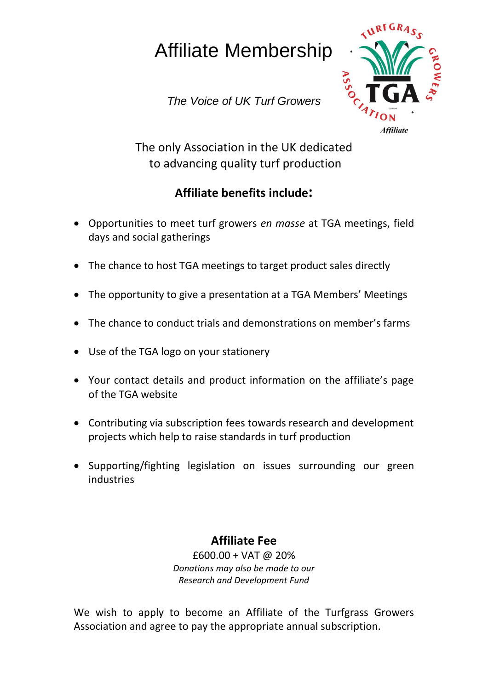## Affiliate Membership

*The Voice of UK Turf Growers*



The only Association in the UK dedicated to advancing quality turf production

## **Affiliate benefits include:**

- Opportunities to meet turf growers *en masse* at TGA meetings, field days and social gatherings
- The chance to host TGA meetings to target product sales directly
- The opportunity to give a presentation at a TGA Members' Meetings
- The chance to conduct trials and demonstrations on member's farms
- Use of the TGA logo on your stationery
- Your contact details and product information on the affiliate's page of the TGA website
- Contributing via subscription fees towards research and development projects which help to raise standards in turf production
- Supporting/fighting legislation on issues surrounding our green industries

## **Affiliate Fee**

£600.00 + VAT @ 20% *Donations may also be made to our Research and Development Fund*

We wish to apply to become an Affiliate of the Turfgrass Growers Association and agree to pay the appropriate annual subscription.